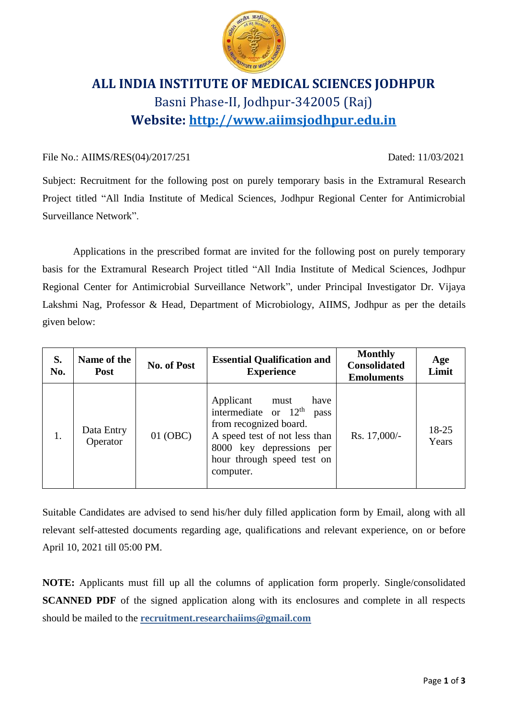

# **ALL INDIA INSTITUTE OF MEDICAL SCIENCES JODHPUR** Basni Phase-II, Jodhpur-342005 (Raj) **Website: [http://www.aiimsjodhpur.edu.in](http://www.aiimsjodhpur.edu.in/)**

# File No.: AIIMS/RES(04)/2017/251 Dated: 11/03/2021

Subject: Recruitment for the following post on purely temporary basis in the Extramural Research Project titled "All India Institute of Medical Sciences, Jodhpur Regional Center for Antimicrobial Surveillance Network".

Applications in the prescribed format are invited for the following post on purely temporary basis for the Extramural Research Project titled "All India Institute of Medical Sciences, Jodhpur Regional Center for Antimicrobial Surveillance Network", under Principal Investigator Dr. Vijaya Lakshmi Nag, Professor & Head, Department of Microbiology, AIIMS, Jodhpur as per the details given below:

| S.<br>No. | Name of the<br><b>Post</b> | <b>No. of Post</b> | <b>Essential Qualification and</b><br><b>Experience</b>                                                                                                                                       | <b>Monthly</b><br><b>Consolidated</b><br><b>Emoluments</b> | Age<br>Limit   |
|-----------|----------------------------|--------------------|-----------------------------------------------------------------------------------------------------------------------------------------------------------------------------------------------|------------------------------------------------------------|----------------|
|           | Data Entry<br>Operator     | 01 (OBC)           | Applicant<br>have<br>must<br>intermediate or $12th$<br>pass<br>from recognized board.<br>A speed test of not less than<br>8000 key depressions per<br>hour through speed test on<br>computer. | Rs. 17,000/-                                               | 18-25<br>Years |

Suitable Candidates are advised to send his/her duly filled application form by Email, along with all relevant self-attested documents regarding age, qualifications and relevant experience, on or before April 10, 2021 till 05:00 PM.

**NOTE:** Applicants must fill up all the columns of application form properly. Single/consolidated **SCANNED PDF** of the signed application along with its enclosures and complete in all respects should be mailed to the **recruitment.researchaiims@gmail.com**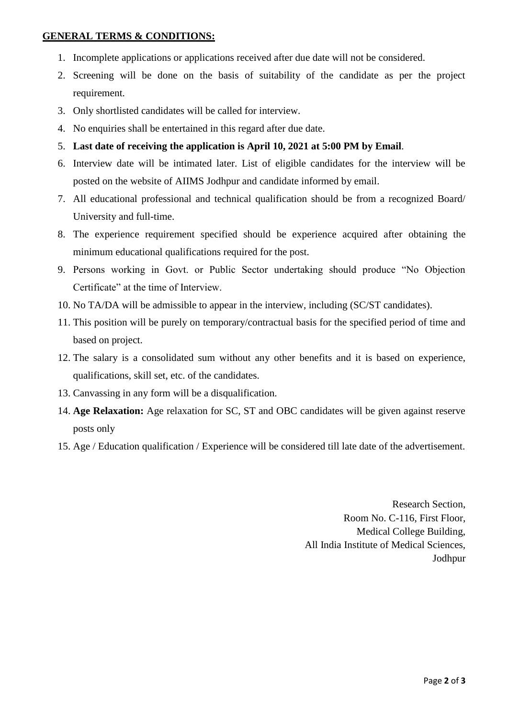# **GENERAL TERMS & CONDITIONS:**

- 1. Incomplete applications or applications received after due date will not be considered.
- 2. Screening will be done on the basis of suitability of the candidate as per the project requirement.
- 3. Only shortlisted candidates will be called for interview.
- 4. No enquiries shall be entertained in this regard after due date.
- 5. **Last date of receiving the application is April 10, 2021 at 5:00 PM by Email**.
- 6. Interview date will be intimated later. List of eligible candidates for the interview will be posted on the website of AIIMS Jodhpur and candidate informed by email.
- 7. All educational professional and technical qualification should be from a recognized Board/ University and full-time.
- 8. The experience requirement specified should be experience acquired after obtaining the minimum educational qualifications required for the post.
- 9. Persons working in Govt. or Public Sector undertaking should produce "No Objection Certificate" at the time of Interview.
- 10. No TA/DA will be admissible to appear in the interview, including (SC/ST candidates).
- 11. This position will be purely on temporary/contractual basis for the specified period of time and based on project.
- 12. The salary is a consolidated sum without any other benefits and it is based on experience, qualifications, skill set, etc. of the candidates.
- 13. Canvassing in any form will be a disqualification.
- 14. **Age Relaxation:** Age relaxation for SC, ST and OBC candidates will be given against reserve posts only
- 15. Age / Education qualification / Experience will be considered till late date of the advertisement.

Research Section, Room No. C-116, First Floor, Medical College Building, All India Institute of Medical Sciences, Jodhpur